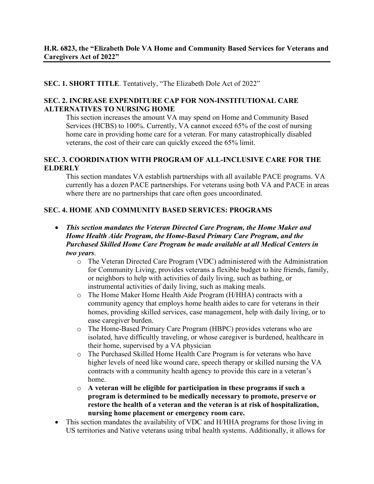#### **SEC. 1. SHORT TITLE**. Tentatively, "The Elizabeth Dole Act of 2022"

#### **SEC. 2. INCREASE EXPENDITURE CAP FOR NON-INSTITUTIONAL CARE ALTERNATIVES TO NURSING HOME**

This section increases the amount VA may spend on Home and Community Based Services (HCBS) to 100%. Currently, VA cannot exceed 65% of the cost of nursing home care in providing home care for a veteran. For many catastrophically disabled veterans, the cost of their care can quickly exceed the 65% limit.

#### **SEC. 3. COORDINATION WITH PROGRAM OF ALL-INCLUSIVE CARE FOR THE ELDERLY**

This section mandates VA establish partnerships with all available PACE programs. VA currently has a dozen PACE partnerships. For veterans using both VA and PACE in areas where there are no partnerships that care often goes uncoordinated.

#### **SEC. 4. HOME AND COMMUNITY BASED SERVICES: PROGRAMS**

- *This section mandates the Veteran Directed Care Program, the Home Maker and Home Health Aide Program, the Home-Based Primary Care Program, and the Purchased Skilled Home Care Program be made available at all Medical Centers in two years*.
	- o The Veteran Directed Care Program (VDC) administered with the Administration for Community Living, provides veterans a flexible budget to hire friends, family, or neighbors to help with activities of daily living, such as bathing, or instrumental activities of daily living, such as making meals.
	- o The Home Maker Home Health Aide Program (H/HHA) contracts with a community agency that employs home health aides to care for veterans in their homes, providing skilled services, case management, help with daily living, or to ease caregiver burden.
	- o The Home-Based Primary Care Program (HBPC) provides veterans who are isolated, have difficultly traveling, or whose caregiver is burdened, healthcare in their home, supervised by a VA physician
	- o The Purchased Skilled Home Health Care Program is for veterans who have higher levels of need like wound care, speech therapy or skilled nursing the VA contracts with a community health agency to provide this care in a veteran's home.
	- o **A veteran will be eligible for participation in these programs if such a program is determined to be medically necessary to promote, preserve or restore the health of a veteran and the veteran is at risk of hospitalization, nursing home placement or emergency room care.**
- This section mandates the availability of VDC and H/HHA programs for those living in US territories and Native veterans using tribal health systems. Additionally, it allows for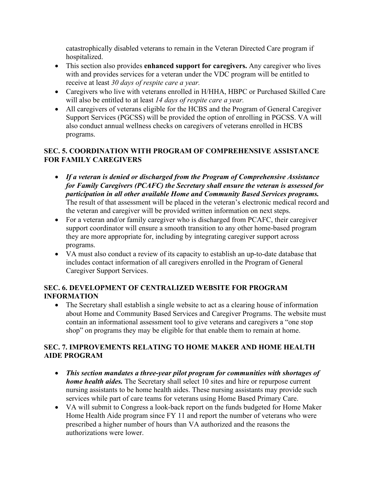catastrophically disabled veterans to remain in the Veteran Directed Care program if hospitalized.

- This section also provides **enhanced support for caregivers.** Any caregiver who lives with and provides services for a veteran under the VDC program will be entitled to receive at least *30 days of respite care a year.*
- Caregivers who live with veterans enrolled in H/HHA, HBPC or Purchased Skilled Care will also be entitled to at least *14 days of respite care a year.*
- All caregivers of veterans eligible for the HCBS and the Program of General Caregiver Support Services (PGCSS) will be provided the option of enrolling in PGCSS. VA will also conduct annual wellness checks on caregivers of veterans enrolled in HCBS programs.

# **SEC. 5. COORDINATION WITH PROGRAM OF COMPREHENSIVE ASSISTANCE FOR FAMILY CAREGIVERS**

- *If a veteran is denied or discharged from the Program of Comprehensive Assistance for Family Caregivers (PCAFC) the Secretary shall ensure the veteran is assessed for participation in all other available Home and Community Based Services programs.* The result of that assessment will be placed in the veteran's electronic medical record and the veteran and caregiver will be provided written information on next steps.
- For a veteran and/or family caregiver who is discharged from PCAFC, their caregiver support coordinator will ensure a smooth transition to any other home-based program they are more appropriate for, including by integrating caregiver support across programs.
- VA must also conduct a review of its capacity to establish an up-to-date database that includes contact information of all caregivers enrolled in the Program of General Caregiver Support Services.

# **SEC. 6. DEVELOPMENT OF CENTRALIZED WEBSITE FOR PROGRAM INFORMATION**

• The Secretary shall establish a single website to act as a clearing house of information about Home and Community Based Services and Caregiver Programs. The website must contain an informational assessment tool to give veterans and caregivers a "one stop shop" on programs they may be eligible for that enable them to remain at home.

# **SEC. 7. IMPROVEMENTS RELATING TO HOME MAKER AND HOME HEALTH AIDE PROGRAM**

- *This section mandates a three-year pilot program for communities with shortages of home health aides.* The Secretary shall select 10 sites and hire or repurpose current nursing assistants to be home health aides. These nursing assistants may provide such services while part of care teams for veterans using Home Based Primary Care.
- VA will submit to Congress a look-back report on the funds budgeted for Home Maker Home Health Aide program since FY 11 and report the number of veterans who were prescribed a higher number of hours than VA authorized and the reasons the authorizations were lower.